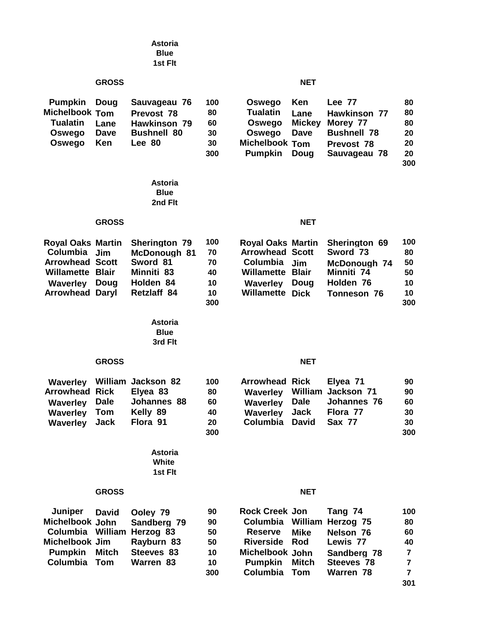|                                                                                                              |                                                       | <b>Astoria</b><br><b>Blue</b><br>1st Fit                                                   |                                          |                                                                                                                          |                                                       |                                                                                               |                                                                         |
|--------------------------------------------------------------------------------------------------------------|-------------------------------------------------------|--------------------------------------------------------------------------------------------|------------------------------------------|--------------------------------------------------------------------------------------------------------------------------|-------------------------------------------------------|-----------------------------------------------------------------------------------------------|-------------------------------------------------------------------------|
|                                                                                                              | <b>GROSS</b>                                          |                                                                                            |                                          |                                                                                                                          | <b>NET</b>                                            |                                                                                               |                                                                         |
| <b>Pumpkin</b><br><b>Michelbook Tom</b><br><b>Tualatin</b><br>Oswego<br>Oswego                               | Doug<br>Lane<br>Dave<br>Ken                           | Sauvageau 76<br>Prevost 78<br><b>Hawkinson 79</b><br><b>Bushnell 80</b><br>Lee 80          | 100<br>80<br>60<br>30<br>30<br>300       | Oswego<br><b>Tualatin</b><br>Oswego<br>Oswego<br><b>Michelbook Tom</b><br><b>Pumpkin</b>                                 | Ken<br>Lane<br><b>Mickey</b><br>Dave<br>Doug          | Lee 77<br><b>Hawkinson 77</b><br>Morey 77<br><b>Bushnell 78</b><br>Prevost 78<br>Sauvageau 78 | 80<br>80<br>80<br>20<br>20<br>20<br>300                                 |
|                                                                                                              |                                                       | <b>Astoria</b><br><b>Blue</b><br>2nd Flt                                                   |                                          |                                                                                                                          |                                                       |                                                                                               |                                                                         |
|                                                                                                              | <b>GROSS</b>                                          |                                                                                            |                                          |                                                                                                                          | <b>NET</b>                                            |                                                                                               |                                                                         |
| <b>Royal Oaks Martin</b><br>Columbia<br><b>Arrowhead Scott</b><br>Willamette<br><b>Waverley</b><br>Arrowhead | <b>Jim</b><br><b>Blair</b><br>Doug<br>Daryl           | Sherington 79<br>McDonough 81<br>Sword 81<br>Minniti 83<br>Holden 84<br><b>Retzlaff 84</b> | 100<br>70<br>70<br>40<br>10<br>10<br>300 | <b>Royal Oaks Martin</b><br><b>Arrowhead Scott</b><br>Columbia<br><b>Willamette</b><br><b>Waverley</b><br>Willamette     | <b>Jim</b><br><b>Blair</b><br>Doug<br><b>Dick</b>     | Sherington 69<br>Sword 73<br>McDonough 74<br>Minniti 74<br>Holden 76<br>Tonneson 76           | 100<br>80<br>50<br>50<br>10<br>10<br>300                                |
|                                                                                                              |                                                       | <b>Astoria</b><br><b>Blue</b><br>3rd Flt                                                   |                                          |                                                                                                                          |                                                       |                                                                                               |                                                                         |
|                                                                                                              | <b>GROSS</b>                                          |                                                                                            |                                          |                                                                                                                          | <b>NET</b>                                            |                                                                                               |                                                                         |
| <b>Waverley</b><br><b>Arrowhead</b><br><b>Waverley</b><br><b>Waverley</b><br><b>Waverley</b>                 | <b>Rick</b><br><b>Dale</b><br>Tom<br>Jack             | William Jackson 82<br>Elyea 83<br>Johannes 88<br>Kelly 89<br>Flora 91<br><b>Astoria</b>    | 100<br>80<br>60<br>40<br>20<br>300       | <b>Arrowhead Rick</b><br><b>Waverley</b><br><b>Waverley</b><br>Waverley<br>Columbia                                      | William<br><b>Dale</b><br><b>Jack</b><br><b>David</b> | Elyea 71<br>Jackson 71<br>Johannes 76<br>Flora 77<br><b>Sax 77</b>                            | 90<br>90<br>60<br>30<br>30<br>300                                       |
|                                                                                                              |                                                       | White<br>1st Flt                                                                           |                                          |                                                                                                                          |                                                       |                                                                                               |                                                                         |
|                                                                                                              | <b>GROSS</b>                                          |                                                                                            |                                          |                                                                                                                          | <b>NET</b>                                            |                                                                                               |                                                                         |
| Juniper<br>Michelbook John<br><b>Columbia</b><br>Michelbook Jim<br><b>Pumpkin</b><br>Columbia                | <b>David</b><br>William<br><b>Mitch</b><br><b>Tom</b> | Ooley 79<br>Sandberg 79<br>Herzog 83<br>Rayburn 83<br>Steeves 83<br>Warren 83              | 90<br>90<br>50<br>50<br>10<br>10<br>300  | <b>Rock Creek Jon</b><br>Columbia<br><b>Reserve</b><br><b>Riverside</b><br>Michelbook John<br><b>Pumpkin</b><br>Columbia | William<br><b>Mike</b><br>Rod<br><b>Mitch</b><br>Tom  | Tang 74<br>Herzog 75<br>Nelson 76<br>Lewis 77<br>Sandberg 78<br>Steeves 78<br>Warren 78       | 100<br>80<br>60<br>40<br>7<br>$\overline{\mathbf{r}}$<br>$\overline{7}$ |

**301**